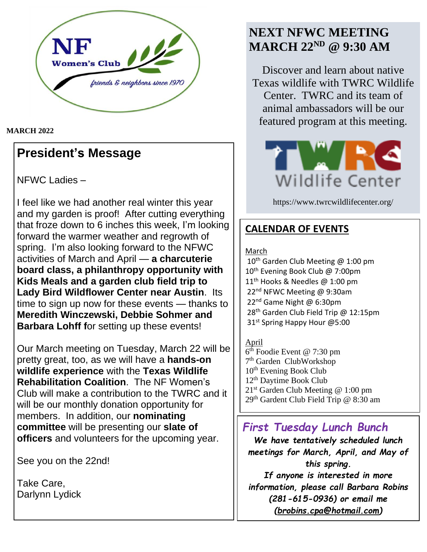

#### **MARCH 2022**

## **President's Message**

NFWC Ladies –

I feel like we had another real winter this year and my garden is proof! After cutting everything that froze down to 6 inches this week, I'm looking forward the warmer weather and regrowth of spring. I'm also looking forward to the NFWC activities of March and April — **a charcuterie board class, a philanthropy opportunity with Kids Meals and a garden club field trip to Lady Bird Wildflower Center near Austin**. Its time to sign up now for these events — thanks to **Meredith Winczewski, Debbie Sohmer and Barbara Lohff f**or setting up these events!

Our March meeting on Tuesday, March 22 will be pretty great, too, as we will have a **hands-on wildlife experience** with the **Texas Wildlife Rehabilitation Coalition**. The NF Women's Club will make a contribution to the TWRC and it will be our monthly donation opportunity for members. In addition, our **nominating committee** will be presenting our **slate of officers** and volunteers for the upcoming year.

See you on the 22nd!

Take Care, Darlynn Lydick

# **NEXT NFWC MEETING MARCH 22ND @ 9:30 AM**

Discover and learn about native Texas wildlife with TWRC Wildlife Center. TWRC and its team of animal ambassadors will be our featured program at this meeting.



https://www.twrcwildlifecenter.org/

## **CALENDAR OF EVENTS**

#### March

10<sup>th</sup> Garden Club Meeting @ 1:00 pm 10<sup>th</sup> Evening Book Club @ 7:00pm 11<sup>th</sup> Hooks & Needles @ 1:00 pm 22<sup>nd</sup> NFWC Meeting @ 9:30am 22<sup>nd</sup> Game Night @ 6:30pm 28<sup>th</sup> Garden Club Field Trip @ 12:15pm 31<sup>st</sup> Spring Happy Hour @5:00

#### April

6<sup>th</sup> Foodie Event @ 7:30 pm 7<sup>th</sup> Garden ClubWorkshop 10<sup>th</sup> Evening Book Club 12th Daytime Book Club  $21<sup>st</sup>$  Garden Club Meeting @ 1:00 pm 29th Gardent Club Field Trip @ 8:30 am

## *First Tuesday Lunch Bunch*

*We have tentatively scheduled lunch meetings for March, April, and May of this spring. If anyone is interested in more information, please call Barbara Robins (281-615-0936) or email me [\(brobins.cpa@hotmail.com\)](mailto:brobins.cpa@hotmail.com)*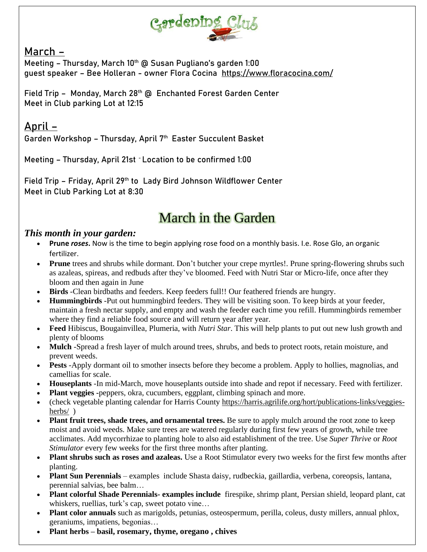

## **March –**

Meeting - Thursday, March 10<sup>th</sup> @ Susan Pugliano's garden 1:00 guest speaker – Bee Holleran - owner Flora Cocina <https://www.floracocina.com/>

Field Trip - Monday, March 28<sup>th</sup> @ Enchanted Forest Garden Center Meet in Club parking Lot at 12:15

## **April –**

Garden Workshop - Thursday, April 7<sup>th</sup> Easter Succulent Basket

Meeting – Thursday, April 21st - Location to be confirmed 1:00

Field Trip – Friday, April 29th to Lady Bird Johnson Wildflower Center Meet in Club Parking Lot at 8:30

# March in the Garden

#### *This month in your garden:*

- **Prune** *roses***.** Now is the time to begin applying rose food on a monthly basis. I.e. Rose Glo, an organic fertilizer.
- **Prune** trees and shrubs while dormant. Don't butcher your crepe myrtles!. Prune spring-flowering shrubs such as azaleas, spireas, and redbuds after they've bloomed. Feed with Nutri Star or Micro-life, once after they bloom and then again in June
- **Birds** -Clean birdbaths and feeders. Keep feeders full!! Our feathered friends are hungry.
- **Hummingbirds** -Put out hummingbird feeders. They will be visiting soon. To keep birds at your feeder, maintain a fresh nectar supply, and empty and wash the feeder each time you refill. Hummingbirds remember where they find a reliable food source and will return year after year.
- **Feed** Hibiscus, Bougainvillea, Plumeria, with *Nutri Star*. This will help plants to put out new lush growth and plenty of blooms
- **Mulch** -Spread a fresh layer of mulch around trees, shrubs, and beds to protect roots, retain moisture, and prevent weeds.
- **Pests** -Apply dormant oil to smother insects before they become a problem. Apply to hollies, magnolias, and camellias for scale.
- **Houseplants** -In mid-March, move houseplants outside into shade and repot if necessary. Feed with fertilizer.
- **Plant veggies** -peppers, okra, cucumbers, eggplant, climbing spinach and more.
- (check vegetable planting calendar for Harris County [https://harris.agrilife.org/hort/publications-links/veggies](https://harris.agrilife.org/hort/publications-links/veggies-herbs/)[herbs/](https://harris.agrilife.org/hort/publications-links/veggies-herbs/) )
- **Plant fruit trees, shade trees, and ornamental trees.** Be sure to apply mulch around the root zone to keep moist and avoid weeds. Make sure trees are watered regularly during first few years of growth, while tree acclimates. Add mycorrhizae to planting hole to also aid establishment of the tree. Use *Super Thrive* or *Root Stimulator* every few weeks for the first three months after planting.
- **Plant shrubs such as roses and azaleas.** Use a Root Stimulator every two weeks for the first few months after planting.
- **Plant Sun Perennials** examples include Shasta daisy, rudbeckia, gaillardia, verbena, coreopsis, lantana, perennial salvias, bee balm…
- **Plant colorful Shade Perennials- examples include** firespike, shrimp plant, Persian shield, leopard plant, cat whiskers, ruellias, turk's cap, sweet potato vine…
- **Plant color annuals** such as marigolds, petunias, osteospermum, perilla, coleus, dusty millers, annual phlox, geraniums, impatiens, begonias…
- **Plant herbs – basil, rosemary, thyme, oregano , chives**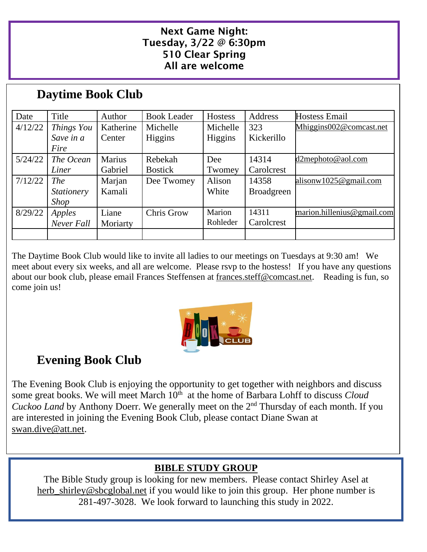#### Next Game Night: Tuesday, 3/22 @ 6:30pm 510 Clear Spring All are welcome

# **Daytime Book Club**

| Date    | Title             | Author        | <b>Book Leader</b> | Hostess        | Address           | <b>Hostess Email</b>       |
|---------|-------------------|---------------|--------------------|----------------|-------------------|----------------------------|
| 4/12/22 | Things You        | Katherine     | Michelle           | Michelle       | 323               | Mhiggins002@comcast.net    |
|         | Save in a         | Center        | Higgins            | <b>Higgins</b> | Kickerillo        |                            |
|         | Fire              |               |                    |                |                   |                            |
| 5/24/22 | The Ocean         | <b>Marius</b> | Rebekah            | Dee            | 14314             | d2mephoto@aol.com          |
|         | Liner             | Gabriel       | <b>Bostick</b>     | Twomey         | Carolcrest        |                            |
| 7/12/22 | <i>The</i>        | Marjan        | Dee Twomey         | Alison         | 14358             | alisonw1025@gmail.com      |
|         | <i>Stationery</i> | Kamali        |                    | White          | <b>Broadgreen</b> |                            |
|         | <i>Shop</i>       |               |                    |                |                   |                            |
| 8/29/22 | Apples            | Liane         | Chris Grow         | Marion         | 14311             | marion.hillenius@gmail.com |
|         | Never Fall        | Moriarty      |                    | Rohleder       | Carolcrest        |                            |
|         |                   |               |                    |                |                   |                            |

The Daytime Book Club would like to invite all ladies to our meetings on Tuesdays at 9:30 am! We meet about every six weeks, and all are welcome. Please rsvp to the hostess! If you have any questions about our book club, please email Frances Steffensen at [frances.steff@comcast.net.](mailto:frances.steff@comcast.net) Reading is fun, so come join us!



# **Evening Book Club**

The Evening Book Club is enjoying the opportunity to get together with neighbors and discuss some great books. We will meet March 10<sup>th</sup> at the home of Barbara Lohff to discuss *Cloud* Cuckoo Land by Anthony Doerr. We generally meet on the 2<sup>nd</sup> Thursday of each month. If you are interested in joining the Evening Book Club, please contact Diane Swan at [swan.dive@att.net.](mailto:swan.dive@att.net)

## **BIBLE STUDY GROUP**

The Bible Study group is looking for new members. Please contact Shirley Asel at [herb\\_shirley@sbcglobal.net](mailto:herb_shirley@sbcglobal.net) if you would like to join this group. Her phone number is 281-497-3028. We look forward to launching this study in 2022.